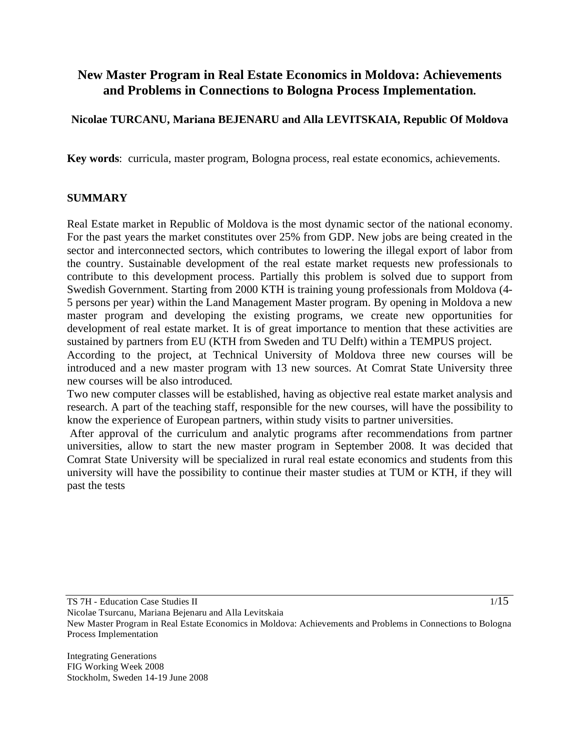# **New Master Program in Real Estate Economics in Moldova: Achievements and Problems in Connections to Bologna Process Implementation.**

## **Nicolae TURCANU, Mariana BEJENARU and Alla LEVITSKAIA, Republic Of Moldova**

**Key words**: curricula, master program, Bologna process, real estate economics, achievements.

### **SUMMARY**

Real Estate market in Republic of Moldova is the most dynamic sector of the national economy. For the past years the market constitutes over 25% from GDP. New jobs are being created in the sector and interconnected sectors, which contributes to lowering the illegal export of labor from the country. Sustainable development of the real estate market requests new professionals to contribute to this development process. Partially this problem is solved due to support from Swedish Government. Starting from 2000 KTH is training young professionals from Moldova (4- 5 persons per year) within the Land Management Master program. By opening in Moldova a new master program and developing the existing programs, we create new opportunities for development of real estate market. It is of great importance to mention that these activities are sustained by partners from EU (KTH from Sweden and TU Delft) within a TEMPUS project.

According to the project, at Technical University of Moldova three new courses will be introduced and a new master program with 13 new sources. At Comrat State University three new courses will be also introduced.

Two new computer classes will be established, having as objective real estate market analysis and research. A part of the teaching staff, responsible for the new courses, will have the possibility to know the experience of European partners, within study visits to partner universities.

 After approval of the curriculum and analytic programs after recommendations from partner universities, allow to start the new master program in September 2008. It was decided that Comrat State University will be specialized in rural real estate economics and students from this university will have the possibility to continue their master studies at TUM or KTH, if they will past the tests

TS 7H - Education Case Studies II

1/15

Nicolae Tsurcanu, Mariana Bejenaru and Alla Levitskaia New Master Program in Real Estate Economics in Moldova: Achievements and Problems in Connections to Bologna Process Implementation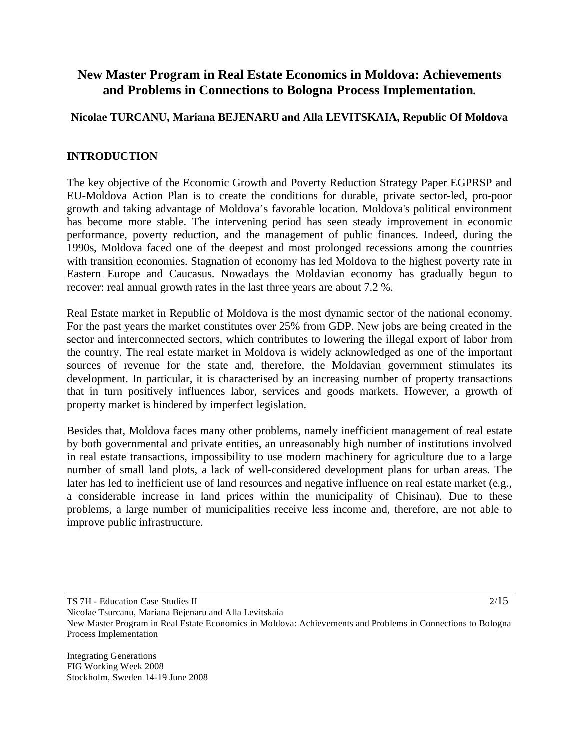# **New Master Program in Real Estate Economics in Moldova: Achievements and Problems in Connections to Bologna Process Implementation.**

## **Nicolae TURCANU, Mariana BEJENARU and Alla LEVITSKAIA, Republic Of Moldova**

## **INTRODUCTION**

The key objective of the Economic Growth and Poverty Reduction Strategy Paper EGPRSP and EU-Moldova Action Plan is to create the conditions for durable, private sector-led, pro-poor growth and taking advantage of Moldova's favorable location. Moldova's political environment has become more stable. The intervening period has seen steady improvement in economic performance, poverty reduction, and the management of public finances. Indeed, during the 1990s, Moldova faced one of the deepest and most prolonged recessions among the countries with transition economies. Stagnation of economy has led Moldova to the highest poverty rate in Eastern Europe and Caucasus. Nowadays the Moldavian economy has gradually begun to recover: real annual growth rates in the last three years are about 7.2 %.

Real Estate market in Republic of Moldova is the most dynamic sector of the national economy. For the past years the market constitutes over 25% from GDP. New jobs are being created in the sector and interconnected sectors, which contributes to lowering the illegal export of labor from the country. The real estate market in Moldova is widely acknowledged as one of the important sources of revenue for the state and, therefore, the Moldavian government stimulates its development. In particular, it is characterised by an increasing number of property transactions that in turn positively influences labor, services and goods markets. However, a growth of property market is hindered by imperfect legislation.

Besides that, Moldova faces many other problems, namely inefficient management of real estate by both governmental and private entities, an unreasonably high number of institutions involved in real estate transactions, impossibility to use modern machinery for agriculture due to a large number of small land plots, a lack of well-considered development plans for urban areas. The later has led to inefficient use of land resources and negative influence on real estate market (e.g., a considerable increase in land prices within the municipality of Chisinau). Due to these problems, a large number of municipalities receive less income and, therefore, are not able to improve public infrastructure.

TS 7H - Education Case Studies II

 $2/15$ 

Nicolae Tsurcanu, Mariana Bejenaru and Alla Levitskaia New Master Program in Real Estate Economics in Moldova: Achievements and Problems in Connections to Bologna Process Implementation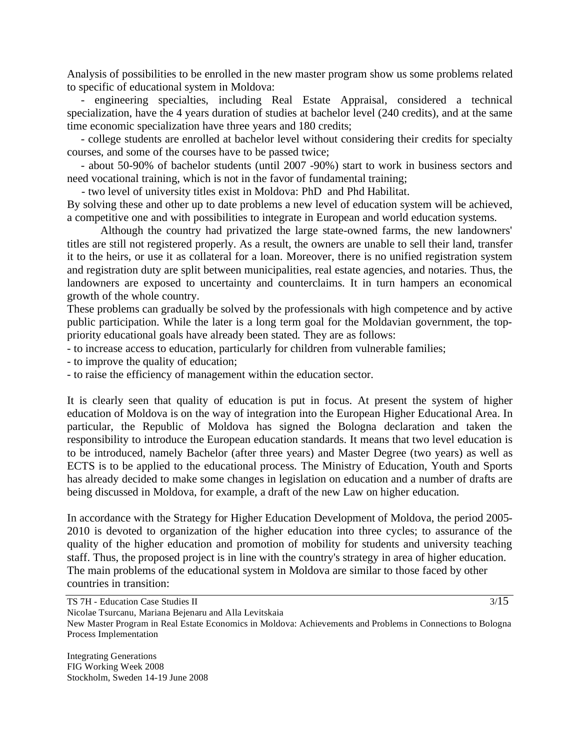Analysis of possibilities to be enrolled in the new master program show us some problems related to specific of educational system in Moldova:

 - engineering specialties, including Real Estate Appraisal, considered a technical specialization, have the 4 years duration of studies at bachelor level (240 credits), and at the same time economic specialization have three years and 180 credits;

 - college students are enrolled at bachelor level without considering their credits for specialty courses, and some of the courses have to be passed twice;

 - about 50-90% of bachelor students (until 2007 -90%) start to work in business sectors and need vocational training, which is not in the favor of fundamental training;

- two level of university titles exist in Moldova: PhD and Phd Habilitat.

By solving these and other up to date problems a new level of education system will be achieved, a competitive one and with possibilities to integrate in European and world education systems.

 Although the country had privatized the large state-owned farms, the new landowners' titles are still not registered properly. As a result, the owners are unable to sell their land, transfer it to the heirs, or use it as collateral for a loan. Moreover, there is no unified registration system and registration duty are split between municipalities, real estate agencies, and notaries. Thus, the landowners are exposed to uncertainty and counterclaims. It in turn hampers an economical growth of the whole country.

These problems can gradually be solved by the professionals with high competence and by active public participation. While the later is a long term goal for the Moldavian government, the toppriority educational goals have already been stated. They are as follows:

- to increase access to education, particularly for children from vulnerable families;

- to improve the quality of education;

- to raise the efficiency of management within the education sector.

It is clearly seen that quality of education is put in focus. At present the system of higher education of Moldova is on the way of integration into the European Higher Educational Area. In particular, the Republic of Moldova has signed the Bologna declaration and taken the responsibility to introduce the European education standards. It means that two level education is to be introduced, namely Bachelor (after three years) and Master Degree (two years) as well as ECTS is to be applied to the educational process. The Ministry of Education, Youth and Sports has already decided to make some changes in legislation on education and a number of drafts are being discussed in Moldova, for example, a draft of the new Law on higher education.

In accordance with the Strategy for Higher Education Development of Moldova, the period 2005- 2010 is devoted to organization of the higher education into three cycles; to assurance of the quality of the higher education and promotion of mobility for students and university teaching staff. Thus, the proposed project is in line with the country's strategy in area of higher education. The main problems of the educational system in Moldova are similar to those faced by other countries in transition:

TS 7H - Education Case Studies II Nicolae Tsurcanu, Mariana Bejenaru and Alla Levitskaia New Master Program in Real Estate Economics in Moldova: Achievements and Problems in Connections to Bologna Process Implementation

Integrating Generations FIG Working Week 2008 Stockholm, Sweden 14-19 June 2008  $3/15$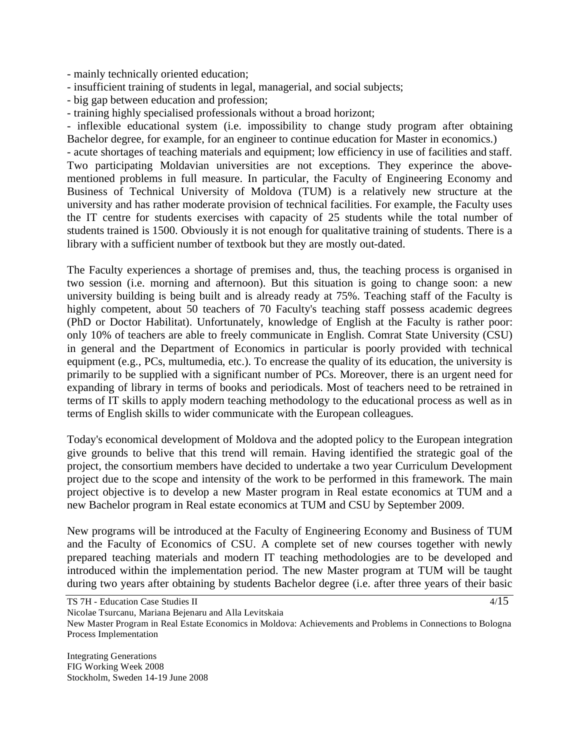- mainly technically oriented education;

- insufficient training of students in legal, managerial, and social subjects;

- big gap between education and profession;

- training highly specialised professionals without a broad horizont;

- inflexible educational system (i.e. impossibility to change study program after obtaining Bachelor degree, for example, for an engineer to continue education for Master in economics.)

- acute shortages of teaching materials and equipment; low efficiency in use of facilities and staff. Two participating Moldavian universities are not exceptions. They experince the abovementioned problems in full measure. In particular, the Faculty of Engineering Economy and Business of Technical University of Moldova (TUM) is a relatively new structure at the university and has rather moderate provision of technical facilities. For example, the Faculty uses the IT centre for students exercises with capacity of 25 students while the total number of students trained is 1500. Obviously it is not enough for qualitative training of students. There is a library with a sufficient number of textbook but they are mostly out-dated.

The Faculty experiences a shortage of premises and, thus, the teaching process is organised in two session (i.e. morning and afternoon). But this situation is going to change soon: a new university building is being built and is already ready at 75%. Teaching staff of the Faculty is highly competent, about 50 teachers of 70 Faculty's teaching staff possess academic degrees (PhD or Doctor Habilitat). Unfortunately, knowledge of English at the Faculty is rather poor: only 10% of teachers are able to freely communicate in English. Comrat State University (CSU) in general and the Department of Economics in particular is poorly provided with technical equipment (e.g., PCs, multumedia, etc.). To encrease the quality of its education, the university is primarily to be supplied with a significant number of PCs. Moreover, there is an urgent need for expanding of library in terms of books and periodicals. Most of teachers need to be retrained in terms of IT skills to apply modern teaching methodology to the educational process as well as in terms of English skills to wider communicate with the European colleagues.

Today's economical development of Moldova and the adopted policy to the European integration give grounds to belive that this trend will remain. Having identified the strategic goal of the project, the consortium members have decided to undertake a two year Curriculum Development project due to the scope and intensity of the work to be performed in this framework. The main project objective is to develop a new Master program in Real estate economics at TUM and a new Bachelor program in Real estate economics at TUM and CSU by September 2009.

New programs will be introduced at the Faculty of Engineering Economy and Business of TUM and the Faculty of Economics of CSU. A complete set of new courses together with newly prepared teaching materials and modern IT teaching methodologies are to be developed and introduced within the implementation period. The new Master program at TUM will be taught during two years after obtaining by students Bachelor degree (i.e. after three years of their basic

 $4/15$ 

TS 7H - Education Case Studies II

Nicolae Tsurcanu, Mariana Bejenaru and Alla Levitskaia

New Master Program in Real Estate Economics in Moldova: Achievements and Problems in Connections to Bologna Process Implementation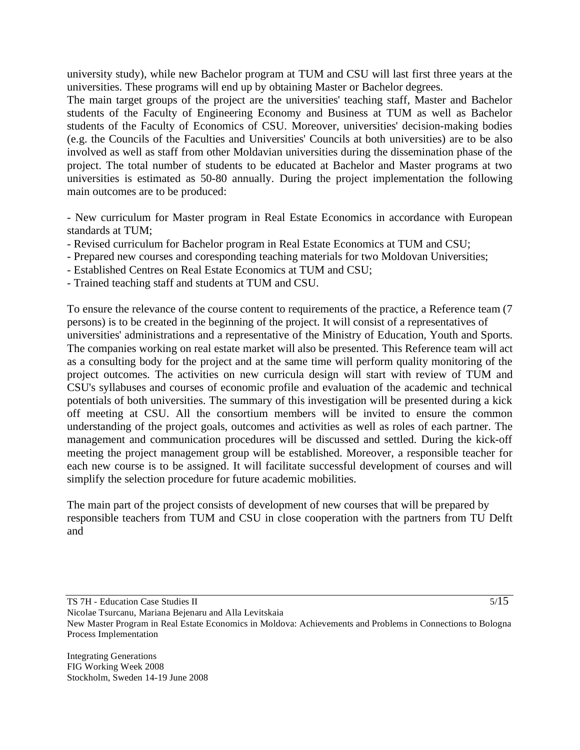university study), while new Bachelor program at TUM and CSU will last first three years at the universities. These programs will end up by obtaining Master or Bachelor degrees.

The main target groups of the project are the universities' teaching staff, Master and Bachelor students of the Faculty of Engineering Economy and Business at TUM as well as Bachelor students of the Faculty of Economics of CSU. Moreover, universities' decision-making bodies (e.g. the Councils of the Faculties and Universities' Councils at both universities) are to be also involved as well as staff from other Moldavian universities during the dissemination phase of the project. The total number of students to be educated at Bachelor and Master programs at two universities is estimated as 50-80 annually. During the project implementation the following main outcomes are to be produced:

- New curriculum for Master program in Real Estate Economics in accordance with European standards at TUM;

- Revised curriculum for Bachelor program in Real Estate Economics at TUM and CSU;
- Prepared new courses and coresponding teaching materials for two Moldovan Universities;
- Established Centres on Real Estate Economics at TUM and CSU;
- Trained teaching staff and students at TUM and CSU.

To ensure the relevance of the course content to requirements of the practice, a Reference team (7 persons) is to be created in the beginning of the project. It will consist of a representatives of universities' administrations and a representative of the Ministry of Education, Youth and Sports. The companies working on real estate market will also be presented. This Reference team will act as a consulting body for the project and at the same time will perform quality monitoring of the project outcomes. The activities on new curricula design will start with review of TUM and CSU's syllabuses and courses of economic profile and evaluation of the academic and technical potentials of both universities. The summary of this investigation will be presented during a kick off meeting at CSU. All the consortium members will be invited to ensure the common understanding of the project goals, outcomes and activities as well as roles of each partner. The management and communication procedures will be discussed and settled. During the kick-off meeting the project management group will be established. Moreover, a responsible teacher for each new course is to be assigned. It will facilitate successful development of courses and will simplify the selection procedure for future academic mobilities.

The main part of the project consists of development of new courses that will be prepared by responsible teachers from TUM and CSU in close cooperation with the partners from TU Delft and

TS 7H - Education Case Studies II

5/15

Nicolae Tsurcanu, Mariana Bejenaru and Alla Levitskaia New Master Program in Real Estate Economics in Moldova: Achievements and Problems in Connections to Bologna Process Implementation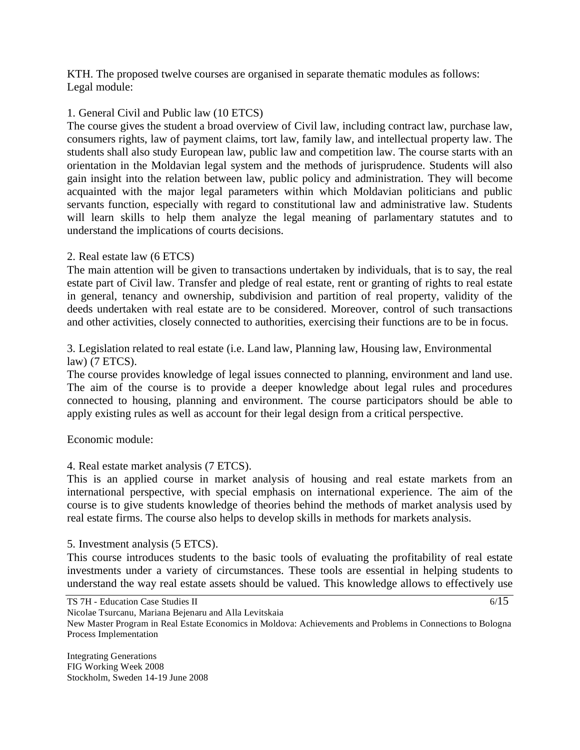KTH. The proposed twelve courses are organised in separate thematic modules as follows: Legal module:

## 1. General Civil and Public law (10 ETCS)

The course gives the student a broad overview of Civil law, including contract law, purchase law, consumers rights, law of payment claims, tort law, family law, and intellectual property law. The students shall also study European law, public law and competition law. The course starts with an orientation in the Moldavian legal system and the methods of jurisprudence. Students will also gain insight into the relation between law, public policy and administration. They will become acquainted with the major legal parameters within which Moldavian politicians and public servants function, especially with regard to constitutional law and administrative law. Students will learn skills to help them analyze the legal meaning of parlamentary statutes and to understand the implications of courts decisions.

## 2. Real estate law (6 ETCS)

The main attention will be given to transactions undertaken by individuals, that is to say, the real estate part of Civil law. Transfer and pledge of real estate, rent or granting of rights to real estate in general, tenancy and ownership, subdivision and partition of real property, validity of the deeds undertaken with real estate are to be considered. Moreover, control of such transactions and other activities, closely connected to authorities, exercising their functions are to be in focus.

## 3. Legislation related to real estate (i.e. Land law, Planning law, Housing law, Environmental law) (7 ETCS).

The course provides knowledge of legal issues connected to planning, environment and land use. The aim of the course is to provide a deeper knowledge about legal rules and procedures connected to housing, planning and environment. The course participators should be able to apply existing rules as well as account for their legal design from a critical perspective.

Economic module:

4. Real estate market analysis (7 ETCS).

This is an applied course in market analysis of housing and real estate markets from an international perspective, with special emphasis on international experience. The aim of the course is to give students knowledge of theories behind the methods of market analysis used by real estate firms. The course also helps to develop skills in methods for markets analysis.

## 5. Investment analysis (5 ETCS).

This course introduces students to the basic tools of evaluating the profitability of real estate investments under a variety of circumstances. These tools are essential in helping students to understand the way real estate assets should be valued. This knowledge allows to effectively use

 $6/15$ 

Nicolae Tsurcanu, Mariana Bejenaru and Alla Levitskaia

New Master Program in Real Estate Economics in Moldova: Achievements and Problems in Connections to Bologna Process Implementation

TS 7H - Education Case Studies II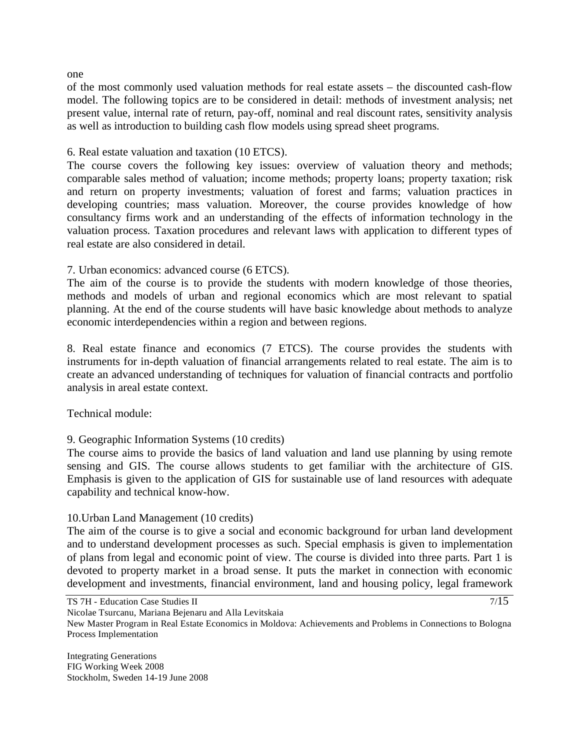one

of the most commonly used valuation methods for real estate assets – the discounted cash-flow model. The following topics are to be considered in detail: methods of investment analysis; net present value, internal rate of return, pay-off, nominal and real discount rates, sensitivity analysis as well as introduction to building cash flow models using spread sheet programs.

6. Real estate valuation and taxation (10 ETCS).

The course covers the following key issues: overview of valuation theory and methods; comparable sales method of valuation; income methods; property loans; property taxation; risk and return on property investments; valuation of forest and farms; valuation practices in developing countries; mass valuation. Moreover, the course provides knowledge of how consultancy firms work and an understanding of the effects of information technology in the valuation process. Taxation procedures and relevant laws with application to different types of real estate are also considered in detail.

7. Urban economics: advanced course (6 ETCS).

The aim of the course is to provide the students with modern knowledge of those theories, methods and models of urban and regional economics which are most relevant to spatial planning. At the end of the course students will have basic knowledge about methods to analyze economic interdependencies within a region and between regions.

8. Real estate finance and economics (7 ETCS). The course provides the students with instruments for in-depth valuation of financial arrangements related to real estate. The aim is to create an advanced understanding of techniques for valuation of financial contracts and portfolio analysis in areal estate context.

Technical module:

## 9. Geographic Information Systems (10 credits)

The course aims to provide the basics of land valuation and land use planning by using remote sensing and GIS. The course allows students to get familiar with the architecture of GIS. Emphasis is given to the application of GIS for sustainable use of land resources with adequate capability and technical know-how.

## 10.Urban Land Management (10 credits)

The aim of the course is to give a social and economic background for urban land development and to understand development processes as such. Special emphasis is given to implementation of plans from legal and economic point of view. The course is divided into three parts. Part 1 is devoted to property market in a broad sense. It puts the market in connection with economic development and investments, financial environment, land and housing policy, legal framework

 $7/15$ 

TS 7H - Education Case Studies II

Nicolae Tsurcanu, Mariana Bejenaru and Alla Levitskaia

New Master Program in Real Estate Economics in Moldova: Achievements and Problems in Connections to Bologna Process Implementation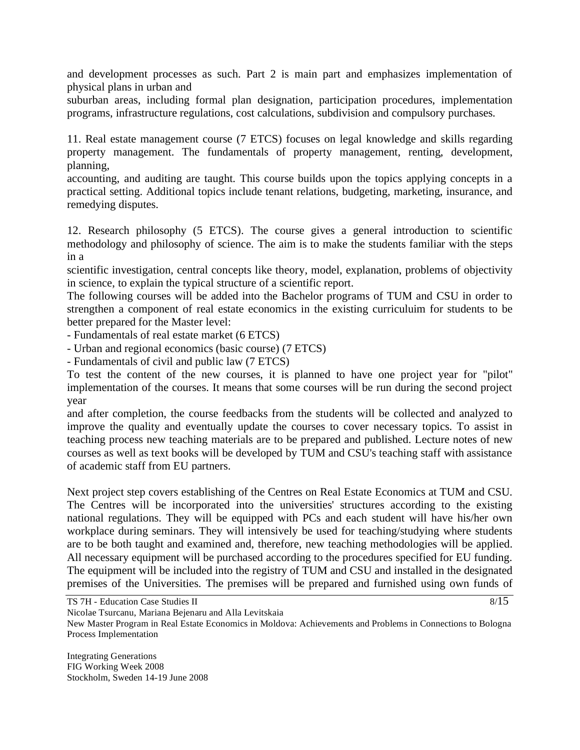and development processes as such. Part 2 is main part and emphasizes implementation of physical plans in urban and

suburban areas, including formal plan designation, participation procedures, implementation programs, infrastructure regulations, cost calculations, subdivision and compulsory purchases.

11. Real estate management course (7 ETCS) focuses on legal knowledge and skills regarding property management. The fundamentals of property management, renting, development, planning,

accounting, and auditing are taught. This course builds upon the topics applying concepts in a practical setting. Additional topics include tenant relations, budgeting, marketing, insurance, and remedying disputes.

12. Research philosophy (5 ETCS). The course gives a general introduction to scientific methodology and philosophy of science. The aim is to make the students familiar with the steps in a

scientific investigation, central concepts like theory, model, explanation, problems of objectivity in science, to explain the typical structure of a scientific report.

The following courses will be added into the Bachelor programs of TUM and CSU in order to strengthen a component of real estate economics in the existing curriculuim for students to be better prepared for the Master level:

- Fundamentals of real estate market (6 ETCS)

- Urban and regional economics (basic course) (7 ETCS)

- Fundamentals of civil and public law (7 ETCS)

To test the content of the new courses, it is planned to have one project year for "pilot" implementation of the courses. It means that some courses will be run during the second project year

and after completion, the course feedbacks from the students will be collected and analyzed to improve the quality and eventually update the courses to cover necessary topics. To assist in teaching process new teaching materials are to be prepared and published. Lecture notes of new courses as well as text books will be developed by TUM and CSU's teaching staff with assistance of academic staff from EU partners.

Next project step covers establishing of the Centres on Real Estate Economics at TUM and CSU. The Centres will be incorporated into the universities' structures according to the existing national regulations. They will be equipped with PCs and each student will have his/her own workplace during seminars. They will intensively be used for teaching/studying where students are to be both taught and examined and, therefore, new teaching methodologies will be applied. All necessary equipment will be purchased according to the procedures specified for EU funding. The equipment will be included into the registry of TUM and CSU and installed in the designated premises of the Universities. The premises will be prepared and furnished using own funds of

 $8/15$ 

Nicolae Tsurcanu, Mariana Bejenaru and Alla Levitskaia

TS 7H - Education Case Studies II

New Master Program in Real Estate Economics in Moldova: Achievements and Problems in Connections to Bologna Process Implementation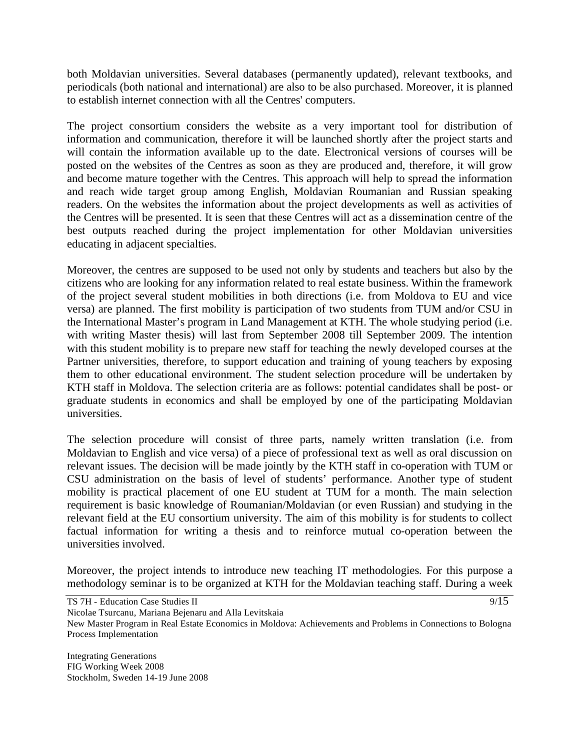both Moldavian universities. Several databases (permanently updated), relevant textbooks, and periodicals (both national and international) are also to be also purchased. Moreover, it is planned to establish internet connection with all the Centres' computers.

The project consortium considers the website as a very important tool for distribution of information and communication, therefore it will be launched shortly after the project starts and will contain the information available up to the date. Electronical versions of courses will be posted on the websites of the Centres as soon as they are produced and, therefore, it will grow and become mature together with the Centres. This approach will help to spread the information and reach wide target group among English, Moldavian Roumanian and Russian speaking readers. On the websites the information about the project developments as well as activities of the Centres will be presented. It is seen that these Centres will act as a dissemination centre of the best outputs reached during the project implementation for other Moldavian universities educating in adjacent specialties.

Moreover, the centres are supposed to be used not only by students and teachers but also by the citizens who are looking for any information related to real estate business. Within the framework of the project several student mobilities in both directions (i.e. from Moldova to EU and vice versa) are planned. The first mobility is participation of two students from TUM and/or CSU in the International Master's program in Land Management at KTH. The whole studying period (i.e. with writing Master thesis) will last from September 2008 till September 2009. The intention with this student mobility is to prepare new staff for teaching the newly developed courses at the Partner universities, therefore, to support education and training of young teachers by exposing them to other educational environment. The student selection procedure will be undertaken by KTH staff in Moldova. The selection criteria are as follows: potential candidates shall be post- or graduate students in economics and shall be employed by one of the participating Moldavian universities.

The selection procedure will consist of three parts, namely written translation (i.e. from Moldavian to English and vice versa) of a piece of professional text as well as oral discussion on relevant issues. The decision will be made jointly by the KTH staff in co-operation with TUM or CSU administration on the basis of level of students' performance. Another type of student mobility is practical placement of one EU student at TUM for a month. The main selection requirement is basic knowledge of Roumanian/Moldavian (or even Russian) and studying in the relevant field at the EU consortium university. The aim of this mobility is for students to collect factual information for writing a thesis and to reinforce mutual co-operation between the universities involved.

Moreover, the project intends to introduce new teaching IT methodologies. For this purpose a methodology seminar is to be organized at KTH for the Moldavian teaching staff. During a week

TS 7H - Education Case Studies II Nicolae Tsurcanu, Mariana Bejenaru and Alla Levitskaia

New Master Program in Real Estate Economics in Moldova: Achievements and Problems in Connections to Bologna Process Implementation

Integrating Generations FIG Working Week 2008 Stockholm, Sweden 14-19 June 2008  $9/15$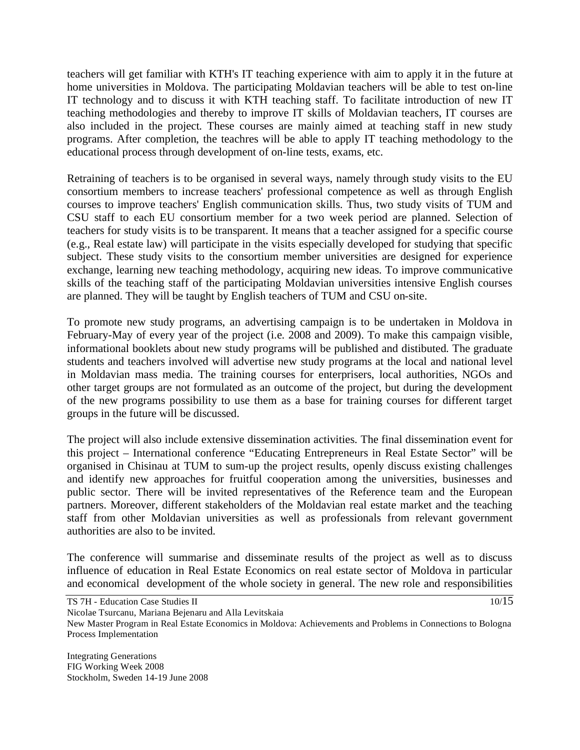teachers will get familiar with KTH's IT teaching experience with aim to apply it in the future at home universities in Moldova. The participating Moldavian teachers will be able to test on-line IT technology and to discuss it with KTH teaching staff. To facilitate introduction of new IT teaching methodologies and thereby to improve IT skills of Moldavian teachers, IT courses are also included in the project. These courses are mainly aimed at teaching staff in new study programs. After completion, the teachres will be able to apply IT teaching methodology to the educational process through development of on-line tests, exams, etc.

Retraining of teachers is to be organised in several ways, namely through study visits to the EU consortium members to increase teachers' professional competence as well as through English courses to improve teachers' English communication skills. Thus, two study visits of TUM and CSU staff to each EU consortium member for a two week period are planned. Selection of teachers for study visits is to be transparent. It means that a teacher assigned for a specific course (e.g., Real estate law) will participate in the visits especially developed for studying that specific subject. These study visits to the consortium member universities are designed for experience exchange, learning new teaching methodology, acquiring new ideas. To improve communicative skills of the teaching staff of the participating Moldavian universities intensive English courses are planned. They will be taught by English teachers of TUM and CSU on-site.

To promote new study programs, an advertising campaign is to be undertaken in Moldova in February-May of every year of the project (i.e. 2008 and 2009). To make this campaign visible, informational booklets about new study programs will be published and distibuted. The graduate students and teachers involved will advertise new study programs at the local and national level in Moldavian mass media. The training courses for enterprisers, local authorities, NGOs and other target groups are not formulated as an outcome of the project, but during the development of the new programs possibility to use them as a base for training courses for different target groups in the future will be discussed.

The project will also include extensive dissemination activities. The final dissemination event for this project – International conference "Educating Entrepreneurs in Real Estate Sector" will be organised in Chisinau at TUM to sum-up the project results, openly discuss existing challenges and identify new approaches for fruitful cooperation among the universities, businesses and public sector. There will be invited representatives of the Reference team and the European partners. Moreover, different stakeholders of the Moldavian real estate market and the teaching staff from other Moldavian universities as well as professionals from relevant government authorities are also to be invited.

The conference will summarise and disseminate results of the project as well as to discuss influence of education in Real Estate Economics on real estate sector of Moldova in particular and economical development of the whole society in general. The new role and responsibilities

 $10/15$ 

Nicolae Tsurcanu, Mariana Bejenaru and Alla Levitskaia

New Master Program in Real Estate Economics in Moldova: Achievements and Problems in Connections to Bologna Process Implementation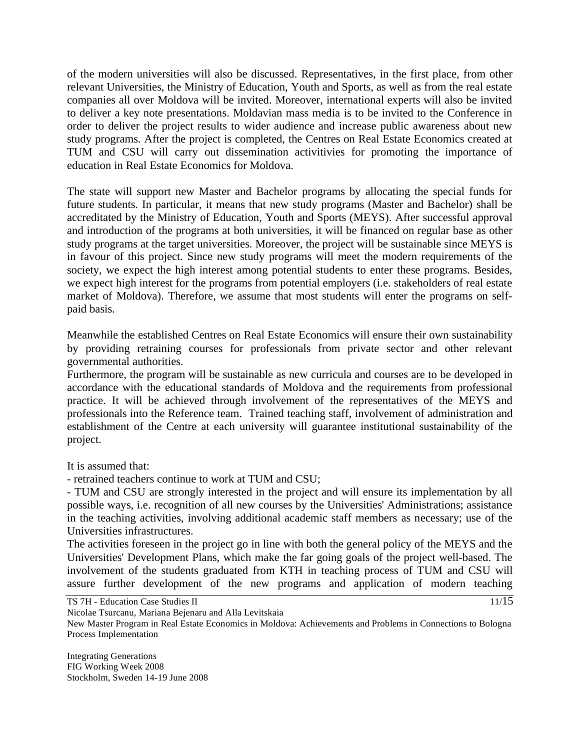of the modern universities will also be discussed. Representatives, in the first place, from other relevant Universities, the Ministry of Education, Youth and Sports, as well as from the real estate companies all over Moldova will be invited. Moreover, international experts will also be invited to deliver a key note presentations. Moldavian mass media is to be invited to the Conference in order to deliver the project results to wider audience and increase public awareness about new study programs. After the project is completed, the Centres on Real Estate Economics created at TUM and CSU will carry out dissemination activitivies for promoting the importance of education in Real Estate Economics for Moldova.

The state will support new Master and Bachelor programs by allocating the special funds for future students. In particular, it means that new study programs (Master and Bachelor) shall be accreditated by the Ministry of Education, Youth and Sports (MEYS). After successful approval and introduction of the programs at both universities, it will be financed on regular base as other study programs at the target universities. Moreover, the project will be sustainable since MEYS is in favour of this project. Since new study programs will meet the modern requirements of the society, we expect the high interest among potential students to enter these programs. Besides, we expect high interest for the programs from potential employers (i.e. stakeholders of real estate market of Moldova). Therefore, we assume that most students will enter the programs on selfpaid basis.

Meanwhile the established Centres on Real Estate Economics will ensure their own sustainability by providing retraining courses for professionals from private sector and other relevant governmental authorities.

Furthermore, the program will be sustainable as new curricula and courses are to be developed in accordance with the educational standards of Moldova and the requirements from professional practice. It will be achieved through involvement of the representatives of the MEYS and professionals into the Reference team. Trained teaching staff, involvement of administration and establishment of the Centre at each university will guarantee institutional sustainability of the project.

It is assumed that:

- retrained teachers continue to work at TUM and CSU;

- TUM and CSU are strongly interested in the project and will ensure its implementation by all possible ways, i.e. recognition of all new courses by the Universities' Administrations; assistance in the teaching activities, involving additional academic staff members as necessary; use of the Universities infrastructures.

The activities foreseen in the project go in line with both the general policy of the MEYS and the Universities' Development Plans, which make the far going goals of the project well-based. The involvement of the students graduated from KTH in teaching process of TUM and CSU will assure further development of the new programs and application of modern teaching

 $11/15$ 

Nicolae Tsurcanu, Mariana Bejenaru and Alla Levitskaia

TS 7H - Education Case Studies II

New Master Program in Real Estate Economics in Moldova: Achievements and Problems in Connections to Bologna Process Implementation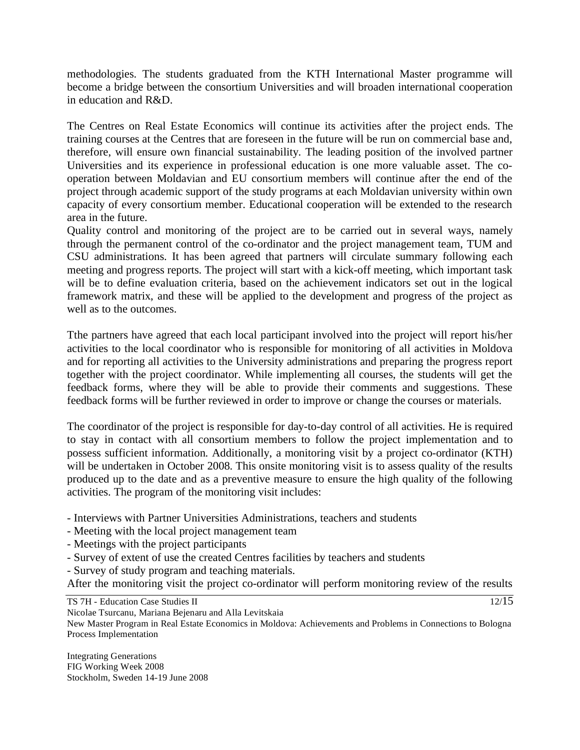methodologies. The students graduated from the KTH International Master programme will become a bridge between the consortium Universities and will broaden international cooperation in education and R&D.

The Centres on Real Estate Economics will continue its activities after the project ends. The training courses at the Centres that are foreseen in the future will be run on commercial base and, therefore, will ensure own financial sustainability. The leading position of the involved partner Universities and its experience in professional education is one more valuable asset. The cooperation between Moldavian and EU consortium members will continue after the end of the project through academic support of the study programs at each Moldavian university within own capacity of every consortium member. Educational cooperation will be extended to the research area in the future.

Quality control and monitoring of the project are to be carried out in several ways, namely through the permanent control of the co-ordinator and the project management team, TUM and CSU administrations. It has been agreed that partners will circulate summary following each meeting and progress reports. The project will start with a kick-off meeting, which important task will be to define evaluation criteria, based on the achievement indicators set out in the logical framework matrix, and these will be applied to the development and progress of the project as well as to the outcomes.

Tthe partners have agreed that each local participant involved into the project will report his/her activities to the local coordinator who is responsible for monitoring of all activities in Moldova and for reporting all activities to the University administrations and preparing the progress report together with the project coordinator. While implementing all courses, the students will get the feedback forms, where they will be able to provide their comments and suggestions. These feedback forms will be further reviewed in order to improve or change the courses or materials.

The coordinator of the project is responsible for day-to-day control of all activities. He is required to stay in contact with all consortium members to follow the project implementation and to possess sufficient information. Additionally, a monitoring visit by a project co-ordinator (KTH) will be undertaken in October 2008. This onsite monitoring visit is to assess quality of the results produced up to the date and as a preventive measure to ensure the high quality of the following activities. The program of the monitoring visit includes:

- Interviews with Partner Universities Administrations, teachers and students
- Meeting with the local project management team
- Meetings with the project participants
- Survey of extent of use the created Centres facilities by teachers and students
- Survey of study program and teaching materials.

After the monitoring visit the project co-ordinator will perform monitoring review of the results

TS 7H - Education Case Studies II

Nicolae Tsurcanu, Mariana Bejenaru and Alla Levitskaia

New Master Program in Real Estate Economics in Moldova: Achievements and Problems in Connections to Bologna Process Implementation

Integrating Generations FIG Working Week 2008 Stockholm, Sweden 14-19 June 2008 12/15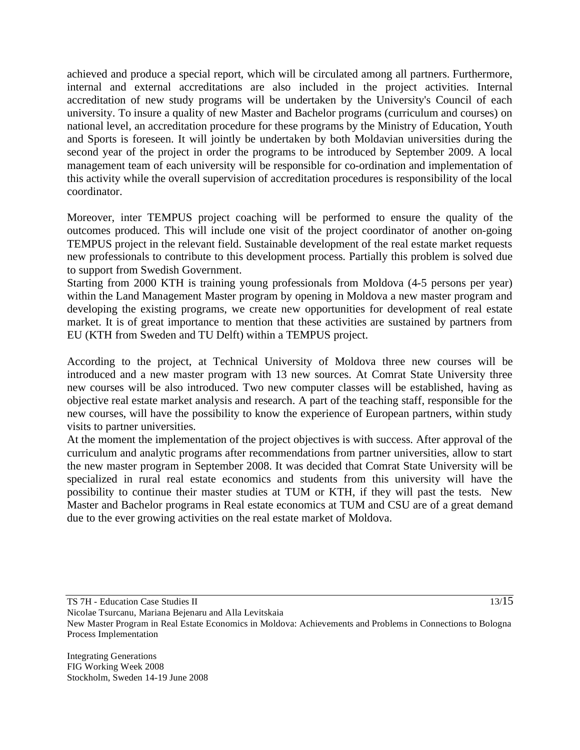achieved and produce a special report, which will be circulated among all partners. Furthermore, internal and external accreditations are also included in the project activities. Internal accreditation of new study programs will be undertaken by the University's Council of each university. To insure a quality of new Master and Bachelor programs (curriculum and courses) on national level, an accreditation procedure for these programs by the Ministry of Education, Youth and Sports is foreseen. It will jointly be undertaken by both Moldavian universities during the second year of the project in order the programs to be introduced by September 2009. A local management team of each university will be responsible for co-ordination and implementation of this activity while the overall supervision of accreditation procedures is responsibility of the local coordinator.

Moreover, inter TEMPUS project coaching will be performed to ensure the quality of the outcomes produced. This will include one visit of the project coordinator of another on-going TEMPUS project in the relevant field. Sustainable development of the real estate market requests new professionals to contribute to this development process. Partially this problem is solved due to support from Swedish Government.

Starting from 2000 KTH is training young professionals from Moldova (4-5 persons per year) within the Land Management Master program by opening in Moldova a new master program and developing the existing programs, we create new opportunities for development of real estate market. It is of great importance to mention that these activities are sustained by partners from EU (KTH from Sweden and TU Delft) within a TEMPUS project.

According to the project, at Technical University of Moldova three new courses will be introduced and a new master program with 13 new sources. At Comrat State University three new courses will be also introduced. Two new computer classes will be established, having as objective real estate market analysis and research. A part of the teaching staff, responsible for the new courses, will have the possibility to know the experience of European partners, within study visits to partner universities.

At the moment the implementation of the project objectives is with success. After approval of the curriculum and analytic programs after recommendations from partner universities, allow to start the new master program in September 2008. It was decided that Comrat State University will be specialized in rural real estate economics and students from this university will have the possibility to continue their master studies at TUM or KTH, if they will past the tests. New Master and Bachelor programs in Real estate economics at TUM and CSU are of a great demand due to the ever growing activities on the real estate market of Moldova.

TS 7H - Education Case Studies II

13/15

Nicolae Tsurcanu, Mariana Bejenaru and Alla Levitskaia New Master Program in Real Estate Economics in Moldova: Achievements and Problems in Connections to Bologna Process Implementation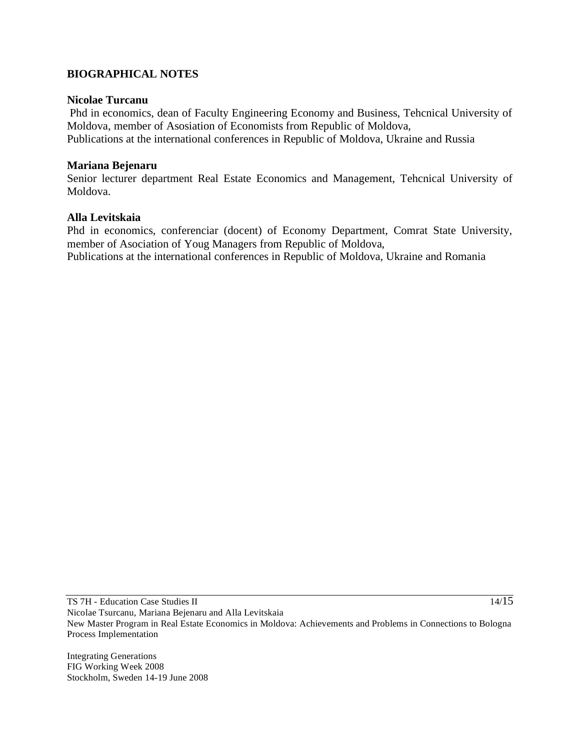### **BIOGRAPHICAL NOTES**

#### **Nicolae Turcanu**

Phd in economics, dean of Faculty Engineering Economy and Business, Tehcnical University of Moldova, member of Asosiation of Economists from Republic of Moldova, Publications at the international conferences in Republic of Moldova, Ukraine and Russia

### **Mariana Bejenaru**

Senior lecturer department Real Estate Economics and Management, Tehcnical University of Moldova.

### **Alla Levitskaia**

Phd in economics, conferenciar (docent) of Economy Department, Comrat State University, member of Asociation of Youg Managers from Republic of Moldova, Publications at the international conferences in Republic of Moldova, Ukraine and Romania

TS 7H - Education Case Studies II Nicolae Tsurcanu, Mariana Bejenaru and Alla Levitskaia New Master Program in Real Estate Economics in Moldova: Achievements and Problems in Connections to Bologna Process Implementation